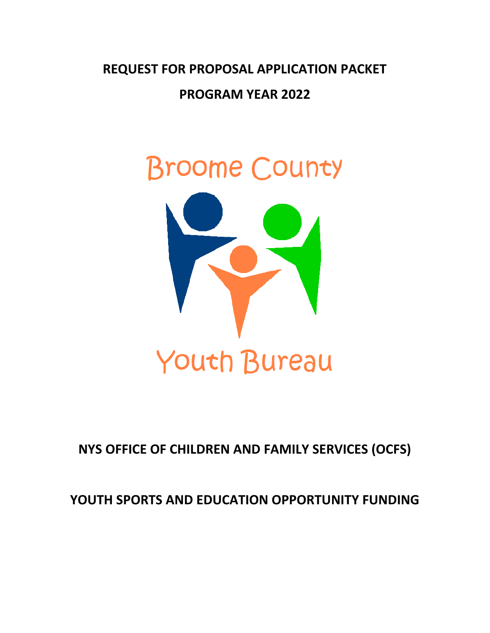**REQUEST FOR PROPOSAL APPLICATION PACKET**

**PROGRAM YEAR 2022**



# **NYS OFFICE OF CHILDREN AND FAMILY SERVICES (OCFS)**

# **YOUTH SPORTS AND EDUCATION OPPORTUNITY FUNDING**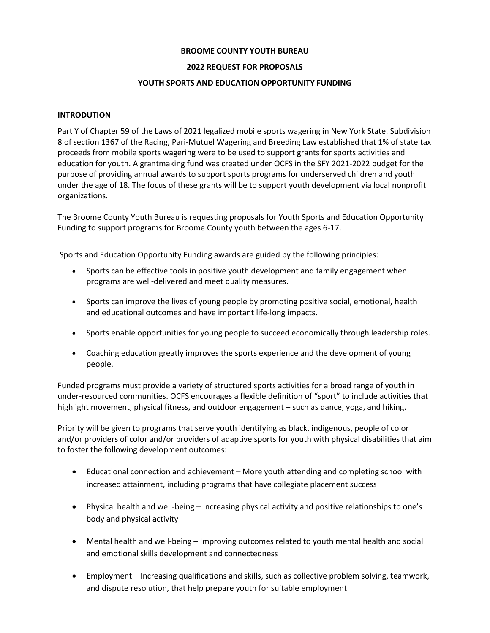### **BROOME COUNTY YOUTH BUREAU**

### **2022 REQUEST FOR PROPOSALS**

### **YOUTH SPORTS AND EDUCATION OPPORTUNITY FUNDING**

### **INTRODUTION**

Part Y of Chapter 59 of the Laws of 2021 legalized mobile sports wagering in New York State. Subdivision 8 of section 1367 of the Racing, Pari-Mutuel Wagering and Breeding Law established that 1% of state tax proceeds from mobile sports wagering were to be used to support grants for sports activities and education for youth. A grantmaking fund was created under OCFS in the SFY 2021-2022 budget for the purpose of providing annual awards to support sports programs for underserved children and youth under the age of 18. The focus of these grants will be to support youth development via local nonprofit organizations.

The Broome County Youth Bureau is requesting proposals for Youth Sports and Education Opportunity Funding to support programs for Broome County youth between the ages 6-17.

Sports and Education Opportunity Funding awards are guided by the following principles:

- Sports can be effective tools in positive youth development and family engagement when programs are well-delivered and meet quality measures.
- Sports can improve the lives of young people by promoting positive social, emotional, health and educational outcomes and have important life-long impacts.
- Sports enable opportunities for young people to succeed economically through leadership roles.
- Coaching education greatly improves the sports experience and the development of young people.

Funded programs must provide a variety of structured sports activities for a broad range of youth in under-resourced communities. OCFS encourages a flexible definition of "sport" to include activities that highlight movement, physical fitness, and outdoor engagement – such as dance, yoga, and hiking.

Priority will be given to programs that serve youth identifying as black, indigenous, people of color and/or providers of color and/or providers of adaptive sports for youth with physical disabilities that aim to foster the following development outcomes:

- Educational connection and achievement More youth attending and completing school with increased attainment, including programs that have collegiate placement success
- Physical health and well-being Increasing physical activity and positive relationships to one's body and physical activity
- Mental health and well-being Improving outcomes related to youth mental health and social and emotional skills development and connectedness
- Employment Increasing qualifications and skills, such as collective problem solving, teamwork, and dispute resolution, that help prepare youth for suitable employment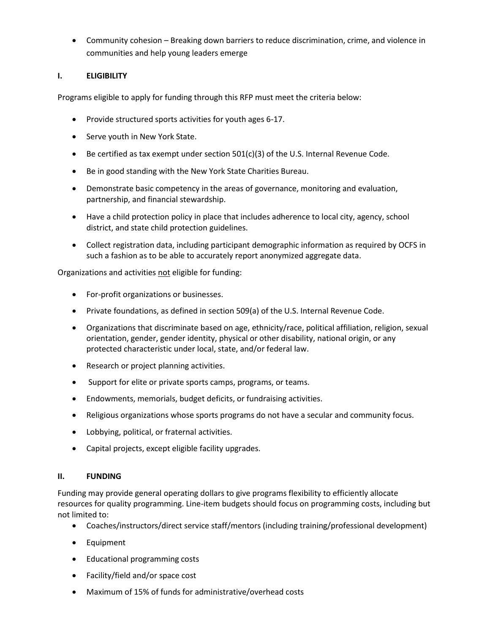• Community cohesion – Breaking down barriers to reduce discrimination, crime, and violence in communities and help young leaders emerge

# **I. ELIGIBILITY**

Programs eligible to apply for funding through this RFP must meet the criteria below:

- Provide structured sports activities for youth ages 6-17.
- Serve youth in New York State.
- Be certified as tax exempt under section  $501(c)(3)$  of the U.S. Internal Revenue Code.
- Be in good standing with the New York State Charities Bureau.
- Demonstrate basic competency in the areas of governance, monitoring and evaluation, partnership, and financial stewardship.
- Have a child protection policy in place that includes adherence to local city, agency, school district, and state child protection guidelines.
- Collect registration data, including participant demographic information as required by OCFS in such a fashion as to be able to accurately report anonymized aggregate data.

Organizations and activities not eligible for funding:

- For-profit organizations or businesses.
- Private foundations, as defined in section 509(a) of the U.S. Internal Revenue Code.
- Organizations that discriminate based on age, ethnicity/race, political affiliation, religion, sexual orientation, gender, gender identity, physical or other disability, national origin, or any protected characteristic under local, state, and/or federal law.
- Research or project planning activities.
- Support for elite or private sports camps, programs, or teams.
- Endowments, memorials, budget deficits, or fundraising activities.
- Religious organizations whose sports programs do not have a secular and community focus.
- Lobbying, political, or fraternal activities.
- Capital projects, except eligible facility upgrades.

### **II. FUNDING**

Funding may provide general operating dollars to give programs flexibility to efficiently allocate resources for quality programming. Line-item budgets should focus on programming costs, including but not limited to:

- Coaches/instructors/direct service staff/mentors (including training/professional development)
- Equipment
- Educational programming costs
- Facility/field and/or space cost
- Maximum of 15% of funds for administrative/overhead costs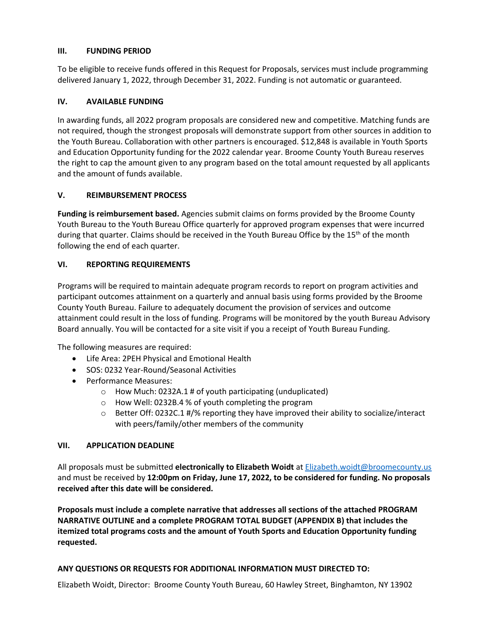### **III. FUNDING PERIOD**

To be eligible to receive funds offered in this Request for Proposals, services must include programming delivered January 1, 2022, through December 31, 2022. Funding is not automatic or guaranteed.

# **IV. AVAILABLE FUNDING**

In awarding funds, all 2022 program proposals are considered new and competitive. Matching funds are not required, though the strongest proposals will demonstrate support from other sources in addition to the Youth Bureau. Collaboration with other partners is encouraged. \$12,848 is available in Youth Sports and Education Opportunity funding for the 2022 calendar year. Broome County Youth Bureau reserves the right to cap the amount given to any program based on the total amount requested by all applicants and the amount of funds available.

### **V. REIMBURSEMENT PROCESS**

**Funding is reimbursement based.** Agencies submit claims on forms provided by the Broome County Youth Bureau to the Youth Bureau Office quarterly for approved program expenses that were incurred during that quarter. Claims should be received in the Youth Bureau Office by the 15<sup>th</sup> of the month following the end of each quarter.

### **VI. REPORTING REQUIREMENTS**

Programs will be required to maintain adequate program records to report on program activities and participant outcomes attainment on a quarterly and annual basis using forms provided by the Broome County Youth Bureau. Failure to adequately document the provision of services and outcome attainment could result in the loss of funding. Programs will be monitored by the youth Bureau Advisory Board annually. You will be contacted for a site visit if you a receipt of Youth Bureau Funding.

The following measures are required:

- Life Area: 2PEH Physical and Emotional Health
- SOS: 0232 Year-Round/Seasonal Activities
- Performance Measures:
	- o How Much: 0232A.1 # of youth participating (unduplicated)
	- o How Well: 0232B.4 % of youth completing the program
	- $\circ$  Better Off: 0232C.1 #/% reporting they have improved their ability to socialize/interact with peers/family/other members of the community

### **VII. APPLICATION DEADLINE**

All proposals must be submitted **electronically to Elizabeth Woidt** a[t Elizabeth.woidt@broomecounty.us](mailto:Elizabeth.woidt@broomecounty.us) and must be received by **12:00pm on Friday, June 17, 2022, to be considered for funding. No proposals received after this date will be considered.**

**Proposals must include a complete narrative that addresses all sections of the attached PROGRAM NARRATIVE OUTLINE and a complete PROGRAM TOTAL BUDGET (APPENDIX B) that includes the itemized total programs costs and the amount of Youth Sports and Education Opportunity funding requested.** 

### **ANY QUESTIONS OR REQUESTS FOR ADDITIONAL INFORMATION MUST DIRECTED TO:**

Elizabeth Woidt, Director: Broome County Youth Bureau, 60 Hawley Street, Binghamton, NY 13902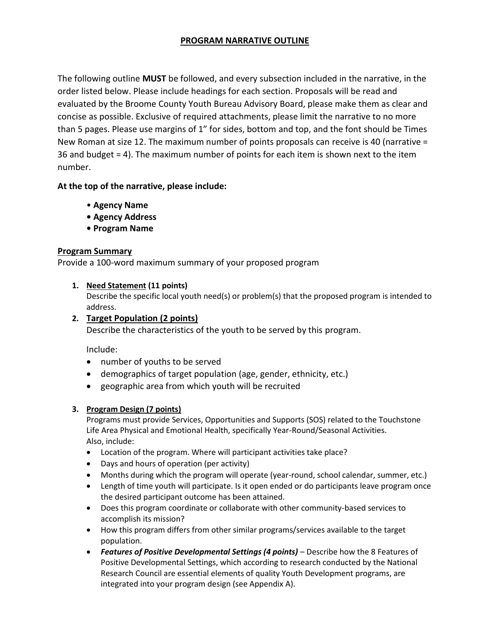# **PROGRAM NARRATIVE OUTLINE**

The following outline **MUST** be followed, and every subsection included in the narrative, in the order listed below. Please include headings for each section. Proposals will be read and evaluated by the Broome County Youth Bureau Advisory Board, please make them as clear and concise as possible. Exclusive of required attachments, please limit the narrative to no more than 5 pages. Please use margins of 1" for sides, bottom and top, and the font should be Times New Roman at size 12. The maximum number of points proposals can receive is 40 (narrative = 36 and budget = 4). The maximum number of points for each item is shown next to the item number.

# **At the top of the narrative, please include:**

- **Agency Name**
- **Agency Address**
- **Program Name**

### **Program Summary**

Provide a 100-word maximum summary of your proposed program

### **1. Need Statement (11 points)**

Describe the specific local youth need(s) or problem(s) that the proposed program is intended to address.

# **2. Target Population (2 points)**

Describe the characteristics of the youth to be served by this program.

Include:

- number of youths to be served
- demographics of target population (age, gender, ethnicity, etc.)
- geographic area from which youth will be recruited

# **3. Program Design (7 points)**

Programs must provide Services, Opportunities and Supports (SOS) related to the Touchstone Life Area Physical and Emotional Health, specifically Year-Round/Seasonal Activities. Also, include:

- Location of the program. Where will participant activities take place?
- Days and hours of operation (per activity)
- Months during which the program will operate (year-round, school calendar, summer, etc.)
- Length of time youth will participate. Is it open ended or do participants leave program once the desired participant outcome has been attained.
- Does this program coordinate or collaborate with other community-based services to accomplish its mission?
- How this program differs from other similar programs/services available to the target population.
- *Features of Positive Developmental Settings (4 points)* Describe how the 8 Features of Positive Developmental Settings, which according to research conducted by the National Research Council are essential elements of quality Youth Development programs, are integrated into your program design (see Appendix A).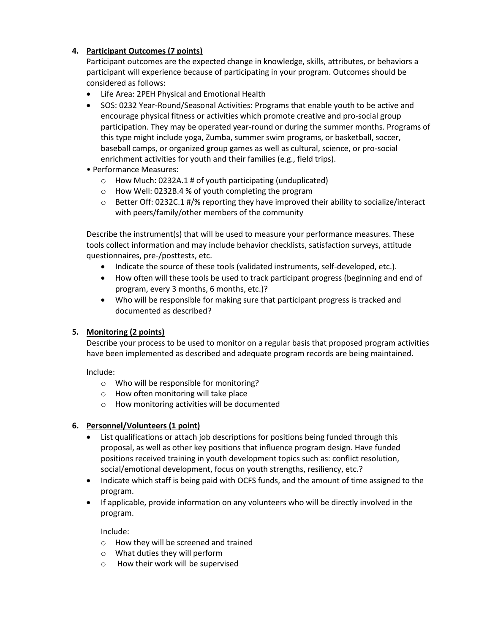# **4. Participant Outcomes (7 points)**

Participant outcomes are the expected change in knowledge, skills, attributes, or behaviors a participant will experience because of participating in your program. Outcomes should be considered as follows:

- Life Area: 2PEH Physical and Emotional Health
- SOS: 0232 Year-Round/Seasonal Activities: Programs that enable youth to be active and encourage physical fitness or activities which promote creative and pro-social group participation. They may be operated year-round or during the summer months. Programs of this type might include yoga, Zumba, summer swim programs, or basketball, soccer, baseball camps, or organized group games as well as cultural, science, or pro-social enrichment activities for youth and their families (e.g., field trips).
- Performance Measures:
	- o How Much: 0232A.1 # of youth participating (unduplicated)
	- o How Well: 0232B.4 % of youth completing the program
	- o Better Off: 0232C.1 #/% reporting they have improved their ability to socialize/interact with peers/family/other members of the community

Describe the instrument(s) that will be used to measure your performance measures. These tools collect information and may include behavior checklists, satisfaction surveys, attitude questionnaires, pre-/posttests, etc.

- Indicate the source of these tools (validated instruments, self-developed, etc.).
- How often will these tools be used to track participant progress (beginning and end of program, every 3 months, 6 months, etc.)?
- Who will be responsible for making sure that participant progress is tracked and documented as described?

# **5. Monitoring (2 points)**

Describe your process to be used to monitor on a regular basis that proposed program activities have been implemented as described and adequate program records are being maintained.

Include:

- o Who will be responsible for monitoring?
- o How often monitoring will take place
- o How monitoring activities will be documented

### **6. Personnel/Volunteers (1 point)**

- List qualifications or attach job descriptions for positions being funded through this proposal, as well as other key positions that influence program design. Have funded positions received training in youth development topics such as: conflict resolution, social/emotional development, focus on youth strengths, resiliency, etc.?
- Indicate which staff is being paid with OCFS funds, and the amount of time assigned to the program.
- If applicable, provide information on any volunteers who will be directly involved in the program.

Include:

- o How they will be screened and trained
- o What duties they will perform
- o How their work will be supervised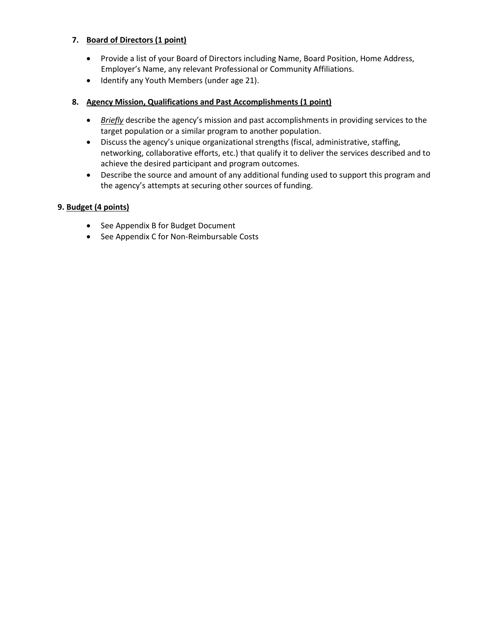# **7. Board of Directors (1 point)**

- Provide a list of your Board of Directors including Name, Board Position, Home Address, Employer's Name, any relevant Professional or Community Affiliations.
- Identify any Youth Members (under age 21).

# **8. Agency Mission, Qualifications and Past Accomplishments (1 point)**

- *Briefly* describe the agency's mission and past accomplishments in providing services to the target population or a similar program to another population.
- Discuss the agency's unique organizational strengths (fiscal, administrative, staffing, networking, collaborative efforts, etc.) that qualify it to deliver the services described and to achieve the desired participant and program outcomes.
- Describe the source and amount of any additional funding used to support this program and the agency's attempts at securing other sources of funding.

### **9. Budget (4 points)**

- See Appendix B for Budget Document
- See Appendix C for Non-Reimbursable Costs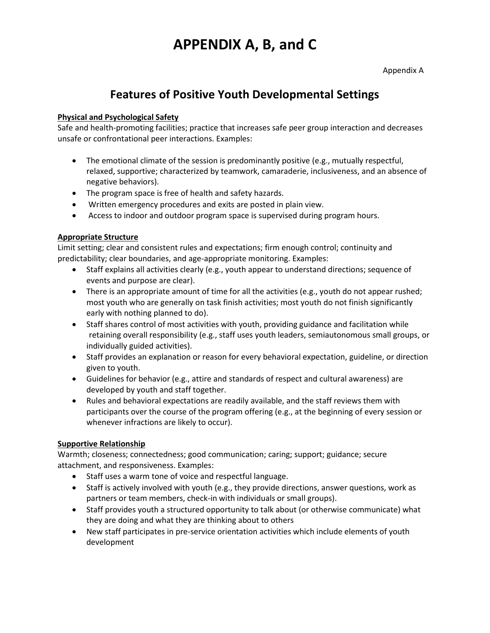# **APPENDIX A, B, and C**

Appendix A

# **Features of Positive Youth Developmental Settings**

# **Physical and Psychological Safety**

Safe and health-promoting facilities; practice that increases safe peer group interaction and decreases unsafe or confrontational peer interactions. Examples:

- The emotional climate of the session is predominantly positive (e.g., mutually respectful, relaxed, supportive; characterized by teamwork, camaraderie, inclusiveness, and an absence of negative behaviors).
- The program space is free of health and safety hazards.
- Written emergency procedures and exits are posted in plain view.
- Access to indoor and outdoor program space is supervised during program hours.

### **Appropriate Structure**

Limit setting; clear and consistent rules and expectations; firm enough control; continuity and predictability; clear boundaries, and age-appropriate monitoring. Examples:

- Staff explains all activities clearly (e.g., youth appear to understand directions; sequence of events and purpose are clear).
- There is an appropriate amount of time for all the activities (e.g., youth do not appear rushed; most youth who are generally on task finish activities; most youth do not finish significantly early with nothing planned to do).
- Staff shares control of most activities with youth, providing guidance and facilitation while retaining overall responsibility (e.g., staff uses youth leaders, semiautonomous small groups, or individually guided activities).
- Staff provides an explanation or reason for every behavioral expectation, guideline, or direction given to youth.
- Guidelines for behavior (e.g., attire and standards of respect and cultural awareness) are developed by youth and staff together.
- Rules and behavioral expectations are readily available, and the staff reviews them with participants over the course of the program offering (e.g., at the beginning of every session or whenever infractions are likely to occur).

# **Supportive Relationship**

Warmth; closeness; connectedness; good communication; caring; support; guidance; secure attachment, and responsiveness. Examples:

- Staff uses a warm tone of voice and respectful language.
- Staff is actively involved with youth (e.g., they provide directions, answer questions, work as partners or team members, check-in with individuals or small groups).
- Staff provides youth a structured opportunity to talk about (or otherwise communicate) what they are doing and what they are thinking about to others
- New staff participates in pre-service orientation activities which include elements of youth development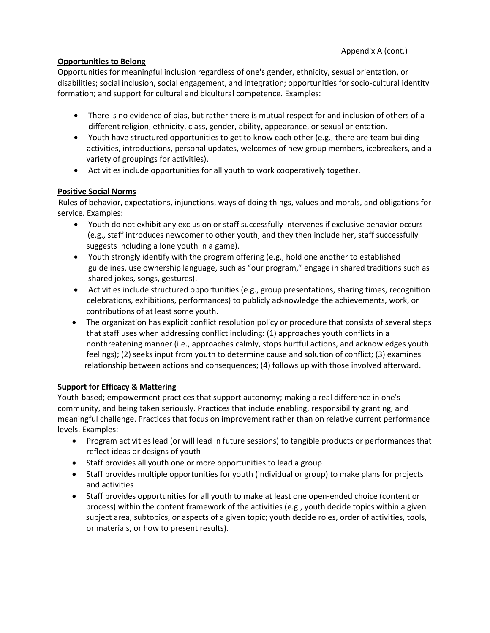# **Opportunities to Belong**

Opportunities for meaningful inclusion regardless of one's gender, ethnicity, sexual orientation, or disabilities; social inclusion, social engagement, and integration; opportunities for socio-cultural identity formation; and support for cultural and bicultural competence. Examples:

- There is no evidence of bias, but rather there is mutual respect for and inclusion of others of a different religion, ethnicity, class, gender, ability, appearance, or sexual orientation.
- Youth have structured opportunities to get to know each other (e.g., there are team building activities, introductions, personal updates, welcomes of new group members, icebreakers, and a variety of groupings for activities).
- Activities include opportunities for all youth to work cooperatively together.

### **Positive Social Norms**

Rules of behavior, expectations, injunctions, ways of doing things, values and morals, and obligations for service. Examples:

- Youth do not exhibit any exclusion or staff successfully intervenes if exclusive behavior occurs (e.g., staff introduces newcomer to other youth, and they then include her, staff successfully suggests including a lone youth in a game).
- Youth strongly identify with the program offering (e.g., hold one another to established guidelines, use ownership language, such as "our program," engage in shared traditions such as shared jokes, songs, gestures).
- Activities include structured opportunities (e.g., group presentations, sharing times, recognition celebrations, exhibitions, performances) to publicly acknowledge the achievements, work, or contributions of at least some youth.
- The organization has explicit conflict resolution policy or procedure that consists of several steps that staff uses when addressing conflict including: (1) approaches youth conflicts in a nonthreatening manner (i.e., approaches calmly, stops hurtful actions, and acknowledges youth feelings); (2) seeks input from youth to determine cause and solution of conflict; (3) examines relationship between actions and consequences; (4) follows up with those involved afterward.

### **Support for Efficacy & Mattering**

Youth-based; empowerment practices that support autonomy; making a real difference in one's community, and being taken seriously. Practices that include enabling, responsibility granting, and meaningful challenge. Practices that focus on improvement rather than on relative current performance levels. Examples:

- Program activities lead (or will lead in future sessions) to tangible products or performances that reflect ideas or designs of youth
- Staff provides all youth one or more opportunities to lead a group
- Staff provides multiple opportunities for youth (individual or group) to make plans for projects and activities
- Staff provides opportunities for all youth to make at least one open-ended choice (content or process) within the content framework of the activities (e.g., youth decide topics within a given subject area, subtopics, or aspects of a given topic; youth decide roles, order of activities, tools, or materials, or how to present results).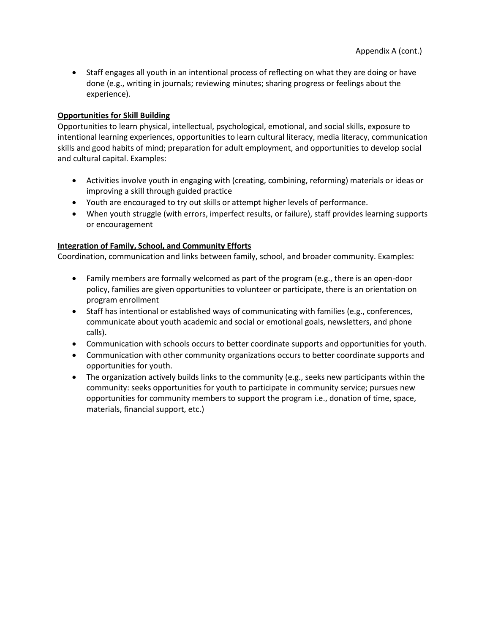• Staff engages all youth in an intentional process of reflecting on what they are doing or have done (e.g., writing in journals; reviewing minutes; sharing progress or feelings about the experience).

### **Opportunities for Skill Building**

Opportunities to learn physical, intellectual, psychological, emotional, and social skills, exposure to intentional learning experiences, opportunities to learn cultural literacy, media literacy, communication skills and good habits of mind; preparation for adult employment, and opportunities to develop social and cultural capital. Examples:

- Activities involve youth in engaging with (creating, combining, reforming) materials or ideas or improving a skill through guided practice
- Youth are encouraged to try out skills or attempt higher levels of performance.
- When youth struggle (with errors, imperfect results, or failure), staff provides learning supports or encouragement

### **Integration of Family, School, and Community Efforts**

Coordination, communication and links between family, school, and broader community. Examples:

- Family members are formally welcomed as part of the program (e.g., there is an open-door policy, families are given opportunities to volunteer or participate, there is an orientation on program enrollment
- Staff has intentional or established ways of communicating with families (e.g., conferences, communicate about youth academic and social or emotional goals, newsletters, and phone calls).
- Communication with schools occurs to better coordinate supports and opportunities for youth.
- Communication with other community organizations occurs to better coordinate supports and opportunities for youth.
- The organization actively builds links to the community (e.g., seeks new participants within the community: seeks opportunities for youth to participate in community service; pursues new opportunities for community members to support the program i.e., donation of time, space, materials, financial support, etc.)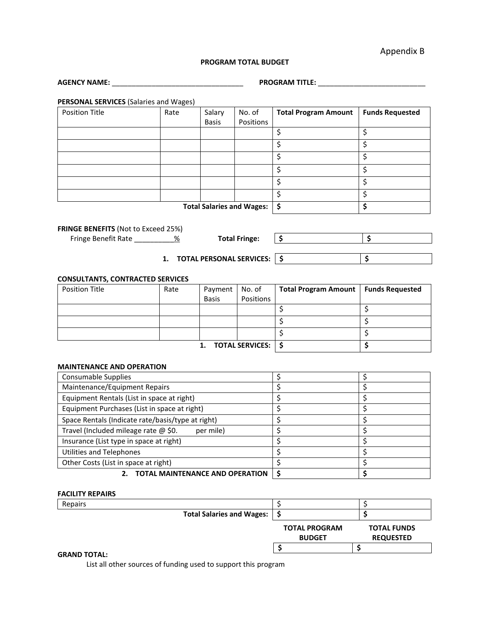Appendix B

### **PROGRAM TOTAL BUDGET**

| <b>AGENCY NAME:</b>                                                    | <b>PROGRAM TITLE:</b>            |                        |                                            |                                 |                                 |  |  |
|------------------------------------------------------------------------|----------------------------------|------------------------|--------------------------------------------|---------------------------------|---------------------------------|--|--|
|                                                                        |                                  |                        |                                            |                                 |                                 |  |  |
| <b>PERSONAL SERVICES (Salaries and Wages)</b><br><b>Position Title</b> |                                  |                        | No. of                                     |                                 |                                 |  |  |
|                                                                        | Rate                             | Salary<br><b>Basis</b> | Positions                                  | <b>Total Program Amount</b>     | <b>Funds Requested</b>          |  |  |
|                                                                        |                                  |                        |                                            | \$                              | \$                              |  |  |
|                                                                        |                                  |                        |                                            | \$                              | \$                              |  |  |
|                                                                        |                                  |                        |                                            | \$                              | \$                              |  |  |
|                                                                        |                                  |                        |                                            |                                 |                                 |  |  |
|                                                                        |                                  |                        |                                            | \$                              | \$                              |  |  |
|                                                                        |                                  |                        |                                            | \$                              | \$                              |  |  |
|                                                                        |                                  |                        |                                            | \$                              | \$                              |  |  |
| <b>Total Salaries and Wages:</b>                                       |                                  |                        |                                            | \$                              | \$                              |  |  |
|                                                                        |                                  |                        |                                            |                                 |                                 |  |  |
| FRINGE BENEFITS (Not to Exceed 25%)                                    |                                  |                        |                                            |                                 |                                 |  |  |
| Fringe Benefit Rate ____________%<br><b>Total Fringe:</b>              |                                  |                        |                                            | \$                              | \$                              |  |  |
|                                                                        |                                  |                        |                                            |                                 |                                 |  |  |
|                                                                        | 1. TOTAL PERSONAL SERVICES:   \$ |                        | \$                                         |                                 |                                 |  |  |
|                                                                        |                                  |                        |                                            |                                 |                                 |  |  |
| <b>CONSULTANTS, CONTRACTED SERVICES</b><br><b>Position Title</b>       | Rate                             | Payment                | No. of                                     | <b>Total Program Amount</b>     | <b>Funds Requested</b>          |  |  |
|                                                                        |                                  | <b>Basis</b>           | Positions                                  |                                 |                                 |  |  |
|                                                                        |                                  |                        |                                            | \$                              | \$                              |  |  |
|                                                                        |                                  |                        |                                            | \$                              | \$                              |  |  |
|                                                                        |                                  |                        |                                            | \$                              | \$                              |  |  |
|                                                                        |                                  | \$<br>\$               |                                            |                                 |                                 |  |  |
|                                                                        |                                  | 1.                     | <b>TOTAL SERVICES:</b>                     |                                 |                                 |  |  |
|                                                                        |                                  |                        |                                            |                                 |                                 |  |  |
| <b>MAINTENANCE AND OPERATION</b><br>Consumable Supplies                |                                  |                        |                                            | \$<br>\$                        |                                 |  |  |
| Maintenance/Equipment Repairs                                          |                                  |                        |                                            | $\overline{\xi}$                | \$                              |  |  |
| Equipment Rentals (List in space at right)                             |                                  |                        |                                            | \$                              | \$                              |  |  |
| Equipment Purchases (List in space at right)                           |                                  |                        |                                            | $\overline{\boldsymbol{\zeta}}$ | \$                              |  |  |
| Space Rentals (Indicate rate/basis/type at right)                      |                                  | $\overline{\xi}$       | \$                                         |                                 |                                 |  |  |
| Travel (Included mileage rate @ \$0.<br>per mile)                      |                                  |                        |                                            | $\overline{\xi}$                | \$                              |  |  |
| Insurance (List type in space at right)                                |                                  |                        |                                            | \$                              | \$                              |  |  |
| <b>Utilities and Telephones</b>                                        |                                  |                        |                                            | $\overline{\boldsymbol{\zeta}}$ | \$                              |  |  |
| Other Costs (List in space at right)                                   |                                  |                        |                                            | \$                              | \$                              |  |  |
| 2. TOTAL MAINTENANCE AND OPERATION                                     |                                  |                        |                                            | \$                              | $\overline{\boldsymbol{\zeta}}$ |  |  |
|                                                                        |                                  |                        |                                            |                                 |                                 |  |  |
| <b>FACILITY REPAIRS</b>                                                |                                  |                        |                                            |                                 |                                 |  |  |
| Repairs                                                                |                                  |                        |                                            | \$                              | \$                              |  |  |
| <b>Total Salaries and Wages:</b>                                       |                                  |                        | \$                                         | \$                              |                                 |  |  |
|                                                                        |                                  |                        | <b>TOTAL PROGRAM</b><br><b>TOTAL FUNDS</b> |                                 |                                 |  |  |
|                                                                        |                                  |                        |                                            | <b>BUDGET</b>                   | <b>REQUESTED</b>                |  |  |
|                                                                        |                                  |                        |                                            | \$                              | \$                              |  |  |

### **GRAND TOTAL:**

List all other sources of funding used to support this program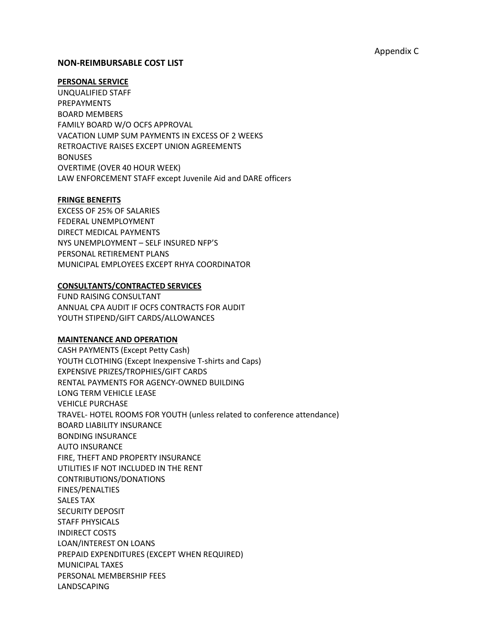### **NON‐REIMBURSABLE COST LIST**

### **PERSONAL SERVICE**

UNQUALIFIED STAFF PREPAYMENTS BOARD MEMBERS FAMILY BOARD W/O OCFS APPROVAL VACATION LUMP SUM PAYMENTS IN EXCESS OF 2 WEEKS RETROACTIVE RAISES EXCEPT UNION AGREEMENTS **BONUSES** OVERTIME (OVER 40 HOUR WEEK) LAW ENFORCEMENT STAFF except Juvenile Aid and DARE officers

### **FRINGE BENEFITS**

EXCESS OF 25% OF SALARIES FEDERAL UNEMPLOYMENT DIRECT MEDICAL PAYMENTS NYS UNEMPLOYMENT – SELF INSURED NFP'S PERSONAL RETIREMENT PLANS MUNICIPAL EMPLOYEES EXCEPT RHYA COORDINATOR

### **CONSULTANTS/CONTRACTED SERVICES**

FUND RAISING CONSULTANT ANNUAL CPA AUDIT IF OCFS CONTRACTS FOR AUDIT YOUTH STIPEND/GIFT CARDS/ALLOWANCES

#### **MAINTENANCE AND OPERATION**

CASH PAYMENTS (Except Petty Cash) YOUTH CLOTHING (Except Inexpensive T-shirts and Caps) EXPENSIVE PRIZES/TROPHIES/GIFT CARDS RENTAL PAYMENTS FOR AGENCY‐OWNED BUILDING LONG TERM VEHICLE LEASE VEHICLE PURCHASE TRAVEL‐ HOTEL ROOMS FOR YOUTH (unless related to conference attendance) BOARD LIABILITY INSURANCE BONDING INSURANCE AUTO INSURANCE FIRE, THEFT AND PROPERTY INSURANCE UTILITIES IF NOT INCLUDED IN THE RENT CONTRIBUTIONS/DONATIONS FINES/PENALTIES SALES TAX SECURITY DEPOSIT STAFF PHYSICALS INDIRECT COSTS LOAN/INTEREST ON LOANS PREPAID EXPENDITURES (EXCEPT WHEN REQUIRED) MUNICIPAL TAXES PERSONAL MEMBERSHIP FEES LANDSCAPING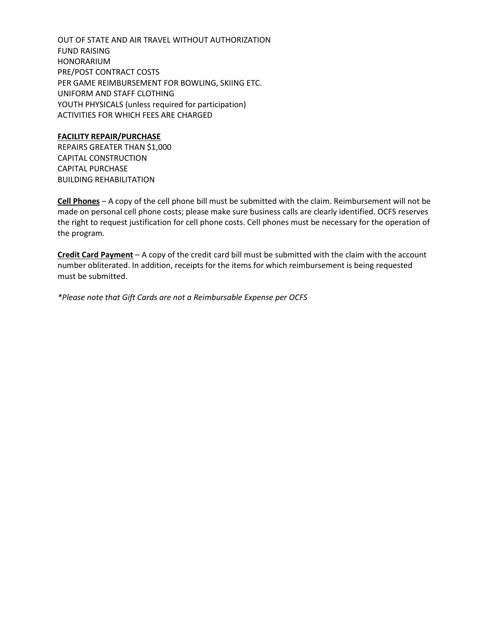OUT OF STATE AND AIR TRAVEL WITHOUT AUTHORIZATION FUND RAISING HONORARIUM PRE/POST CONTRACT COSTS PER GAME REIMBURSEMENT FOR BOWLING, SKIING ETC. UNIFORM AND STAFF CLOTHING YOUTH PHYSICALS (unless required for participation) ACTIVITIES FOR WHICH FEES ARE CHARGED

### **FACILITY REPAIR/PURCHASE**

REPAIRS GREATER THAN \$1,000 CAPITAL CONSTRUCTION CAPITAL PURCHASE BUILDING REHABILITATION

**Cell Phones** – A copy of the cell phone bill must be submitted with the claim. Reimbursement will not be made on personal cell phone costs; please make sure business calls are clearly identified. OCFS reserves the right to request justification for cell phone costs. Cell phones must be necessary for the operation of the program.

**Credit Card Payment** – A copy of the credit card bill must be submitted with the claim with the account number obliterated. In addition, receipts for the items for which reimbursement is being requested must be submitted.

*\*Please note that Gift Cards are not a Reimbursable Expense per OCFS*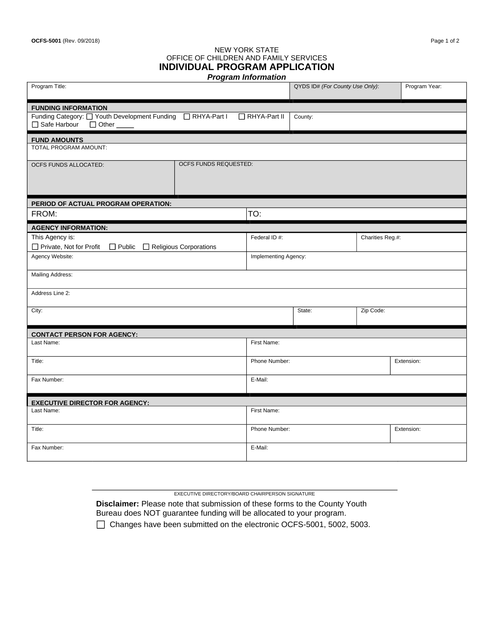### NEW YORK STATE OFFICE OF CHILDREN AND FAMILY SERVICES **INDIVIDUAL PROGRAM APPLICATION**

| <b>Program Information</b>                                                                  |                             |                     |                                 |                  |               |  |  |  |  |  |
|---------------------------------------------------------------------------------------------|-----------------------------|---------------------|---------------------------------|------------------|---------------|--|--|--|--|--|
| Program Title:                                                                              |                             |                     | QYDS ID# (For County Use Only): |                  | Program Year: |  |  |  |  |  |
| <b>FUNDING INFORMATION</b>                                                                  |                             |                     |                                 |                  |               |  |  |  |  |  |
| Funding Category: O Youth Development Funding O RHYA-Part I<br>Safe Harbour<br>$\Box$ Other | RHYA-Part II                | County:             |                                 |                  |               |  |  |  |  |  |
| <b>FUND AMOUNTS</b>                                                                         |                             |                     |                                 |                  |               |  |  |  |  |  |
| TOTAL PROGRAM AMOUNT:                                                                       |                             |                     |                                 |                  |               |  |  |  |  |  |
| OCFS FUNDS ALLOCATED:                                                                       | OCFS FUNDS REQUESTED:       |                     |                                 |                  |               |  |  |  |  |  |
| PERIOD OF ACTUAL PROGRAM OPERATION:                                                         |                             |                     |                                 |                  |               |  |  |  |  |  |
| FROM:                                                                                       |                             | TO:                 |                                 |                  |               |  |  |  |  |  |
| <b>AGENCY INFORMATION:</b>                                                                  |                             |                     |                                 |                  |               |  |  |  |  |  |
| This Agency is:                                                                             |                             | Federal ID #:       |                                 | Charities Reg.#: |               |  |  |  |  |  |
| □ Private, Not for Profit □ Public □ Religious Corporations                                 |                             |                     |                                 |                  |               |  |  |  |  |  |
| Agency Website:                                                                             | Implementing Agency:        |                     |                                 |                  |               |  |  |  |  |  |
| Mailing Address:                                                                            |                             |                     |                                 |                  |               |  |  |  |  |  |
| Address Line 2:                                                                             |                             |                     |                                 |                  |               |  |  |  |  |  |
| City:                                                                                       |                             | Zip Code:<br>State: |                                 |                  |               |  |  |  |  |  |
| <b>CONTACT PERSON FOR AGENCY:</b>                                                           |                             |                     |                                 |                  |               |  |  |  |  |  |
| Last Name:                                                                                  |                             | First Name:         |                                 |                  |               |  |  |  |  |  |
| Title:                                                                                      |                             | Phone Number:       |                                 |                  | Extension:    |  |  |  |  |  |
| Fax Number:                                                                                 | E-Mail:                     |                     |                                 |                  |               |  |  |  |  |  |
| <b>EXECUTIVE DIRECTOR FOR AGENCY:</b>                                                       |                             |                     |                                 |                  |               |  |  |  |  |  |
| Last Name:                                                                                  |                             | First Name:         |                                 |                  |               |  |  |  |  |  |
| Title:                                                                                      | Phone Number:<br>Extension: |                     |                                 |                  |               |  |  |  |  |  |
| Fax Number:                                                                                 | E-Mail:                     |                     |                                 |                  |               |  |  |  |  |  |

EXECUTIVE DIRECTORY/BOARD CHAIRPERSON SIGNATURE

**Disclaimer:** Please note that submission of these forms to the County Youth Bureau does NOT guarantee funding will be allocated to your program.

□ Changes have been submitted on the electronic OCFS-5001, 5002, 5003.